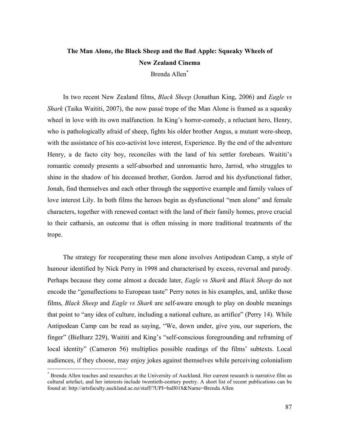## **The Man Alone, the Black Sheep and the Bad Apple: Squeaky Wheels of New Zealand Cinema** Brenda Allen\*

In two recent New Zealand films, *Black Sheep* (Jonathan King, 2006) and *Eagle vs Shark* (Taika Waititi, 2007), the now passé trope of the Man Alone is framed as a squeaky wheel in love with its own malfunction. In King's horror-comedy, a reluctant hero, Henry, who is pathologically afraid of sheep, fights his older brother Angus, a mutant were-sheep, with the assistance of his eco-activist love interest, Experience. By the end of the adventure Henry, a de facto city boy, reconciles with the land of his settler forebears. Waititi's romantic comedy presents a self-absorbed and unromantic hero, Jarrod, who struggles to shine in the shadow of his deceased brother, Gordon. Jarrod and his dysfunctional father, Jonah, find themselves and each other through the supportive example and family values of love interest Lily. In both films the heroes begin as dysfunctional "men alone" and female characters, together with renewed contact with the land of their family homes, prove crucial to their catharsis, an outcome that is often missing in more traditional treatments of the trope.

The strategy for recuperating these men alone involves Antipodean Camp, a style of humour identified by Nick Perry in 1998 and characterised by excess, reversal and parody. Perhaps because they come almost a decade later, *Eagle vs Shark* and *Black Sheep* do not encode the "genuflections to European taste" Perry notes in his examples, and, unlike those films, *Black Sheep* and *Eagle vs Shark* are self-aware enough to play on double meanings that point to "any idea of culture, including a national culture, as artifice" (Perry 14). While Antipodean Camp can be read as saying, "We, down under, give you, our superiors, the finger" (Bielharz 229), Waititi and King's "self-conscious foregrounding and reframing of local identity" (Cameron 56) multiplies possible readings of the films' subtexts. Local audiences, if they choose, may enjoy jokes against themselves while perceiving colonialism

\* Brenda Allen teaches and researches at the University of Auckland. Her current research is narrative film as cultural artefact, and her interests include twentieth-century poetry. A short list of recent publications can be found at: http://artsfaculty.auckland.ac.nz/staff/?UPI=ball018&Name=Brenda Allen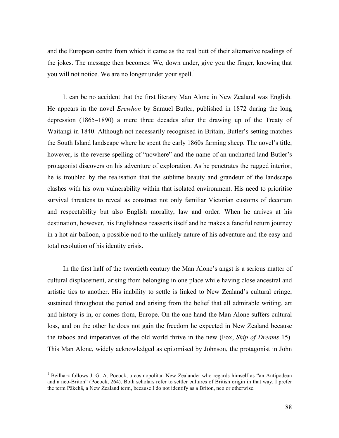and the European centre from which it came as the real butt of their alternative readings of the jokes. The message then becomes: We, down under, give you the finger, knowing that you will not notice. We are no longer under your spell.<sup>1</sup>

It can be no accident that the first literary Man Alone in New Zealand was English. He appears in the novel *Erewhon* by Samuel Butler, published in 1872 during the long depression (1865–1890) a mere three decades after the drawing up of the Treaty of Waitangi in 1840. Although not necessarily recognised in Britain, Butler's setting matches the South Island landscape where he spent the early 1860s farming sheep. The novel's title, however, is the reverse spelling of "nowhere" and the name of an uncharted land Butler's protagonist discovers on his adventure of exploration. As he penetrates the rugged interior, he is troubled by the realisation that the sublime beauty and grandeur of the landscape clashes with his own vulnerability within that isolated environment. His need to prioritise survival threatens to reveal as construct not only familiar Victorian customs of decorum and respectability but also English morality, law and order. When he arrives at his destination, however, his Englishness reasserts itself and he makes a fanciful return journey in a hot-air balloon, a possible nod to the unlikely nature of his adventure and the easy and total resolution of his identity crisis.

In the first half of the twentieth century the Man Alone's angst is a serious matter of cultural displacement, arising from belonging in one place while having close ancestral and artistic ties to another. His inability to settle is linked to New Zealand's cultural cringe, sustained throughout the period and arising from the belief that all admirable writing, art and history is in, or comes from, Europe. On the one hand the Man Alone suffers cultural loss, and on the other he does not gain the freedom he expected in New Zealand because the taboos and imperatives of the old world thrive in the new (Fox, *Ship of Dreams* 15). This Man Alone, widely acknowledged as epitomised by Johnson, the protagonist in John

<sup>&</sup>lt;sup>1</sup> Beilharz follows J. G. A. Pocock, a cosmopolitan New Zealander who regards himself as "an Antipodean and a neo-Briton" (Pocock, 264). Both scholars refer to settler cultures of British origin in that way. I prefer the term Pākehā, a New Zealand term, because I do not identify as a Briton, neo or otherwise.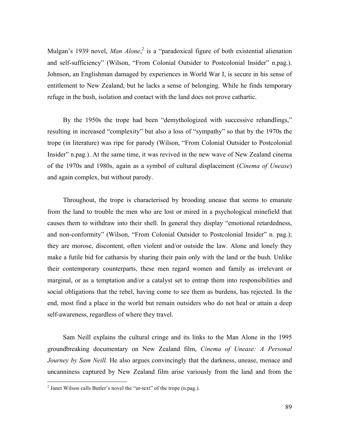Mulgan's 1939 novel, *Man Alone*, <sup>2</sup> is a "paradoxical figure of both existential alienation and self-sufficiency" (Wilson, "From Colonial Outsider to Postcolonial Insider" n.pag.). Johnson, an Englishman damaged by experiences in World War I, is secure in his sense of entitlement to New Zealand, but he lacks a sense of belonging. While he finds temporary refuge in the bush, isolation and contact with the land does not prove cathartic.

By the 1950s the trope had been "demythologized with successive rehandlings," resulting in increased "complexity" but also a loss of "sympathy" so that by the 1970s the trope (in literature) was ripe for parody (Wilson, "From Colonial Outsider to Postcolonial Insider" n.pag.). At the same time, it was revived in the new wave of New Zealand cinema of the 1970s and 1980s, again as a symbol of cultural displacement (*Cinema of Unease*) and again complex, but without parody.

Throughout, the trope is characterised by brooding unease that seems to emanate from the land to trouble the men who are lost or mired in a psychological minefield that causes them to withdraw into their shell. In general they display "emotional retardedness, and non-conformity" (Wilson, "From Colonial Outsider to Postcolonial Insider" n. pag.); they are morose, discontent, often violent and/or outside the law. Alone and lonely they make a futile bid for catharsis by sharing their pain only with the land or the bush. Unlike their contemporary counterparts, these men regard women and family as irrelevant or marginal, or as a temptation and/or a catalyst set to entrap them into responsibilities and social obligations that the rebel, having come to see them as burdens, has rejected. In the end, most find a place in the world but remain outsiders who do not heal or attain a deep self-awareness, regardless of where they travel.

Sam Neill explains the cultural cringe and its links to the Man Alone in the 1995 groundbreaking documentary on New Zealand film, *Cinema of Unease: A Personal Journey by Sam Neill.* He also argues convincingly that the darkness, unease, menace and uncanniness captured by New Zealand film arise variously from the land and from the

 $2$  Janet Wilson calls Butler's novel the "ur-text" of the trope (n.pag.).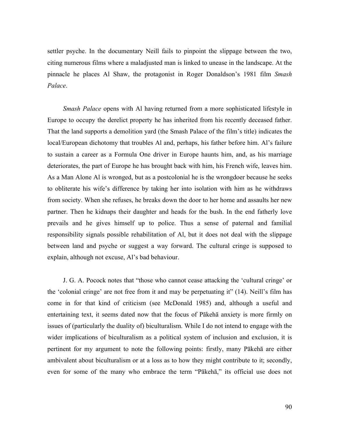settler psyche. In the documentary Neill fails to pinpoint the slippage between the two, citing numerous films where a maladjusted man is linked to unease in the landscape. At the pinnacle he places Al Shaw, the protagonist in Roger Donaldson's 1981 film *Smash Palace*.

*Smash Palace* opens with Al having returned from a more sophisticated lifestyle in Europe to occupy the derelict property he has inherited from his recently deceased father. That the land supports a demolition yard (the Smash Palace of the film's title) indicates the local/European dichotomy that troubles Al and, perhaps, his father before him. Al's failure to sustain a career as a Formula One driver in Europe haunts him, and, as his marriage deteriorates, the part of Europe he has brought back with him, his French wife, leaves him. As a Man Alone Al is wronged, but as a postcolonial he is the wrongdoer because he seeks to obliterate his wife's difference by taking her into isolation with him as he withdraws from society. When she refuses, he breaks down the door to her home and assaults her new partner. Then he kidnaps their daughter and heads for the bush. In the end fatherly love prevails and he gives himself up to police. Thus a sense of paternal and familial responsibility signals possible rehabilitation of Al, but it does not deal with the slippage between land and psyche or suggest a way forward. The cultural cringe is supposed to explain, although not excuse, Al's bad behaviour.

J. G. A. Pocock notes that "those who cannot cease attacking the 'cultural cringe' or the 'colonial cringe' are not free from it and may be perpetuating it" (14). Neill's film has come in for that kind of criticism (see McDonald 1985) and, although a useful and entertaining text, it seems dated now that the focus of Pākehā anxiety is more firmly on issues of (particularly the duality of) biculturalism. While I do not intend to engage with the wider implications of biculturalism as a political system of inclusion and exclusion, it is pertinent for my argument to note the following points: firstly, many Pākehā are either ambivalent about biculturalism or at a loss as to how they might contribute to it; secondly, even for some of the many who embrace the term "Pākehā," its official use does not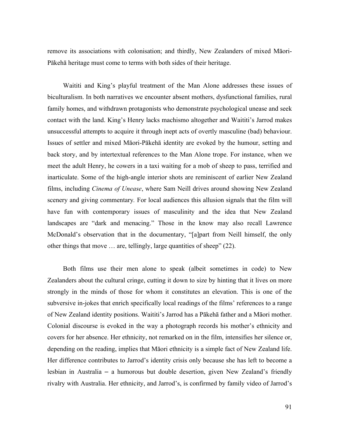remove its associations with colonisation; and thirdly, New Zealanders of mixed Māori-Pākehā heritage must come to terms with both sides of their heritage.

Waititi and King's playful treatment of the Man Alone addresses these issues of biculturalism. In both narratives we encounter absent mothers, dysfunctional families, rural family homes, and withdrawn protagonists who demonstrate psychological unease and seek contact with the land. King's Henry lacks machismo altogether and Waititi's Jarrod makes unsuccessful attempts to acquire it through inept acts of overtly masculine (bad) behaviour. Issues of settler and mixed Māori-Pākehā identity are evoked by the humour, setting and back story, and by intertextual references to the Man Alone trope. For instance, when we meet the adult Henry, he cowers in a taxi waiting for a mob of sheep to pass, terrified and inarticulate. Some of the high-angle interior shots are reminiscent of earlier New Zealand films, including *Cinema of Unease*, where Sam Neill drives around showing New Zealand scenery and giving commentary*.* For local audiences this allusion signals that the film will have fun with contemporary issues of masculinity and the idea that New Zealand landscapes are "dark and menacing." Those in the know may also recall Lawrence McDonald's observation that in the documentary, "[a]part from Neill himself, the only other things that move … are, tellingly, large quantities of sheep" (22).

Both films use their men alone to speak (albeit sometimes in code) to New Zealanders about the cultural cringe, cutting it down to size by hinting that it lives on more strongly in the minds of those for whom it constitutes an elevation. This is one of the subversive in-jokes that enrich specifically local readings of the films' references to a range of New Zealand identity positions. Waititi's Jarrod has a Pākehā father and a Māori mother. Colonial discourse is evoked in the way a photograph records his mother's ethnicity and covers for her absence. Her ethnicity, not remarked on in the film, intensifies her silence or, depending on the reading, implies that Māori ethnicity is a simple fact of New Zealand life. Her difference contributes to Jarrod's identity crisis only because she has left to become a lesbian in Australia – a humorous but double desertion, given New Zealand's friendly rivalry with Australia. Her ethnicity, and Jarrod's, is confirmed by family video of Jarrod's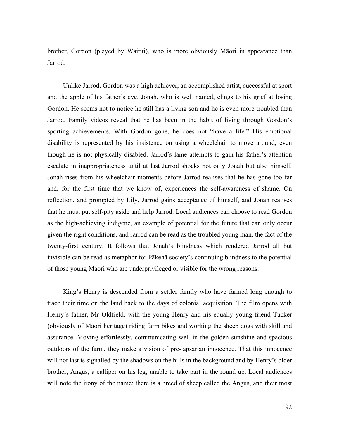brother, Gordon (played by Waititi), who is more obviously Māori in appearance than Jarrod.

Unlike Jarrod, Gordon was a high achiever, an accomplished artist, successful at sport and the apple of his father's eye. Jonah, who is well named, clings to his grief at losing Gordon. He seems not to notice he still has a living son and he is even more troubled than Jarrod. Family videos reveal that he has been in the habit of living through Gordon's sporting achievements. With Gordon gone, he does not "have a life." His emotional disability is represented by his insistence on using a wheelchair to move around, even though he is not physically disabled. Jarrod's lame attempts to gain his father's attention escalate in inappropriateness until at last Jarrod shocks not only Jonah but also himself. Jonah rises from his wheelchair moments before Jarrod realises that he has gone too far and, for the first time that we know of, experiences the self-awareness of shame. On reflection, and prompted by Lily, Jarrod gains acceptance of himself, and Jonah realises that he must put self-pity aside and help Jarrod. Local audiences can choose to read Gordon as the high-achieving indigene, an example of potential for the future that can only occur given the right conditions, and Jarrod can be read as the troubled young man, the fact of the twenty-first century. It follows that Jonah's blindness which rendered Jarrod all but invisible can be read as metaphor for Pākehā society's continuing blindness to the potential of those young Māori who are underprivileged or visible for the wrong reasons.

King's Henry is descended from a settler family who have farmed long enough to trace their time on the land back to the days of colonial acquisition. The film opens with Henry's father, Mr Oldfield, with the young Henry and his equally young friend Tucker (obviously of Māori heritage) riding farm bikes and working the sheep dogs with skill and assurance. Moving effortlessly, communicating well in the golden sunshine and spacious outdoors of the farm, they make a vision of pre-lapsarian innocence. That this innocence will not last is signalled by the shadows on the hills in the background and by Henry's older brother, Angus, a calliper on his leg, unable to take part in the round up. Local audiences will note the irony of the name: there is a breed of sheep called the Angus, and their most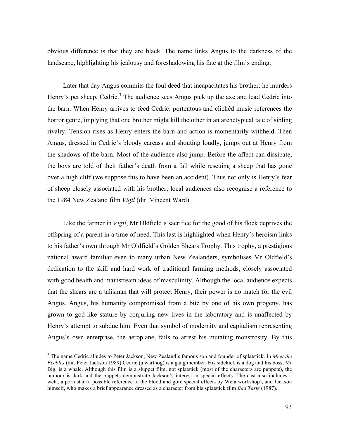obvious difference is that they are black. The name links Angus to the darkness of the landscape, highlighting his jealousy and foreshadowing his fate at the film's ending.

Later that day Angus commits the foul deed that incapacitates his brother: he murders Henry's pet sheep, Cedric.<sup>3</sup> The audience sees Angus pick up the axe and lead Cedric into the barn. When Henry arrives to feed Cedric, portentous and clichéd music references the horror genre, implying that one brother might kill the other in an archetypical tale of sibling rivalry. Tension rises as Henry enters the barn and action is momentarily withheld. Then Angus, dressed in Cedric's bloody carcass and shouting loudly, jumps out at Henry from the shadows of the barn. Most of the audience also jump. Before the affect can dissipate, the boys are told of their father's death from a fall while rescuing a sheep that has gone over a high cliff (we suppose this to have been an accident). Thus not only is Henry's fear of sheep closely associated with his brother; local audiences also recognise a reference to the 1984 New Zealand film *Vigil* (dir. Vincent Ward).

Like the farmer in *Vigil*, Mr Oldfield's sacrifice for the good of his flock deprives the offspring of a parent in a time of need. This last is highlighted when Henry's heroism links to his father's own through Mr Oldfield's Golden Shears Trophy. This trophy, a prestigious national award familiar even to many urban New Zealanders, symbolises Mr Oldfield's dedication to the skill and hard work of traditional farming methods, closely associated with good health and mainstream ideas of masculinity. Although the local audience expects that the shears are a talisman that will protect Henry, their power is no match for the evil Angus. Angus, his humanity compromised from a bite by one of his own progeny, has grown to god-like stature by conjuring new lives in the laboratory and is unaffected by Henry's attempt to subdue him. Even that symbol of modernity and capitalism representing Angus's own enterprise, the aeroplane, fails to arrest his mutating monstrosity. By this

<sup>3</sup> The name Cedric alludes to Peter Jackson, New Zealand's famous son and founder of splatstick. In *Meet the Feebles* (dir. Peter Jackson 1989) Cedric (a warthog) is a gang member. His sidekick is a dog and his boss, Mr Big, is a whale. Although this film is a sluppet film, not splatstick (most of the characters are puppets), the humour is dark and the puppets demonstrate Jackson's interest in special effects. The cast also includes a weta, a porn star (a possible reference to the blood and gore special effects by Weta workshop), and Jackson himself, who makes a brief appearance dressed as a character from his splatstick film *Bad Taste* (1987).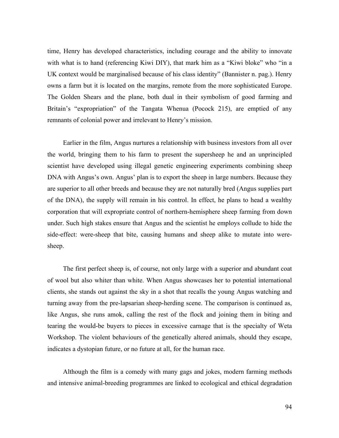time, Henry has developed characteristics, including courage and the ability to innovate with what is to hand (referencing Kiwi DIY), that mark him as a "Kiwi bloke" who "in a UK context would be marginalised because of his class identity" (Bannister n. pag.). Henry owns a farm but it is located on the margins, remote from the more sophisticated Europe. The Golden Shears and the plane, both dual in their symbolism of good farming and Britain's "expropriation" of the Tangata Whenua (Pocock 215), are emptied of any remnants of colonial power and irrelevant to Henry's mission.

Earlier in the film, Angus nurtures a relationship with business investors from all over the world, bringing them to his farm to present the supersheep he and an unprincipled scientist have developed using illegal genetic engineering experiments combining sheep DNA with Angus's own. Angus' plan is to export the sheep in large numbers. Because they are superior to all other breeds and because they are not naturally bred (Angus supplies part of the DNA), the supply will remain in his control. In effect, he plans to head a wealthy corporation that will expropriate control of northern-hemisphere sheep farming from down under. Such high stakes ensure that Angus and the scientist he employs collude to hide the side-effect: were-sheep that bite, causing humans and sheep alike to mutate into weresheep.

The first perfect sheep is, of course, not only large with a superior and abundant coat of wool but also whiter than white. When Angus showcases her to potential international clients, she stands out against the sky in a shot that recalls the young Angus watching and turning away from the pre-lapsarian sheep-herding scene. The comparison is continued as, like Angus, she runs amok, calling the rest of the flock and joining them in biting and tearing the would-be buyers to pieces in excessive carnage that is the specialty of Weta Workshop. The violent behaviours of the genetically altered animals, should they escape, indicates a dystopian future, or no future at all, for the human race.

Although the film is a comedy with many gags and jokes, modern farming methods and intensive animal-breeding programmes are linked to ecological and ethical degradation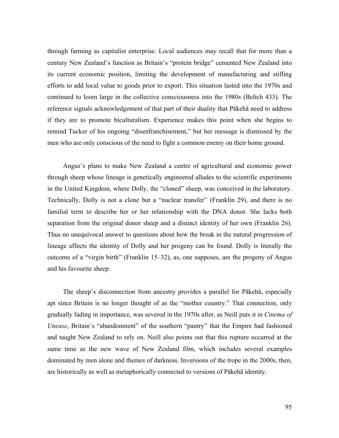through farming as capitalist enterprise. Local audiences may recall that for more than a century New Zealand's function as Britain's "protein bridge" cemented New Zealand into its current economic position, limiting the development of manufacturing and stifling efforts to add local value to goods prior to export. This situation lasted into the 1970s and continued to loom large in the collective consciousness into the 1980s (Belich 433). The reference signals acknowledgement of that part of their duality that Pākehā need to address if they are to promote biculturalism. Experience makes this point when she begins to remind Tucker of his ongoing "disenfranchisement," but her message is dismissed by the men who are only conscious of the need to fight a common enemy on their home ground.

Angus's plans to make New Zealand a centre of agricultural and economic power through sheep whose lineage is genetically engineered alludes to the scientific experiments in the United Kingdom, where Dolly, the "cloned" sheep, was conceived in the laboratory. Technically, Dolly is not a clone but a "nuclear transfer" (Franklin 29), and there is no familial term to describe her or her relationship with the DNA donor. She lacks both separation from the original donor sheep and a distinct identity of her own (Franklin 26). Thus no unequivocal answer to questions about how the break in the natural progression of lineage affects the identity of Dolly and her progeny can be found. Dolly is literally the outcome of a "virgin birth" (Franklin 15–32), as, one supposes, are the progeny of Angus and his favourite sheep.

The sheep's disconnection from ancestry provides a parallel for Pākehā, especially apt since Britain is no longer thought of as the "mother country." That connection, only gradually fading in importance, was severed in the 1970s after, as Neill puts it in *Cinema of Unease*, Britain's "abandonment" of the southern "pantry" that the Empire had fashioned and taught New Zealand to rely on. Neill also points out that this rupture occurred at the same time as the new wave of New Zealand film, which includes several examples dominated by men alone and themes of darkness. Inversions of the trope in the 2000s, then, are historically as well as metaphorically connected to versions of Pākehā identity.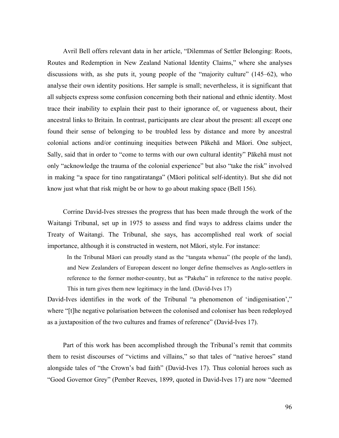Avril Bell offers relevant data in her article, "Dilemmas of Settler Belonging: Roots, Routes and Redemption in New Zealand National Identity Claims," where she analyses discussions with, as she puts it, young people of the "majority culture" (145–62), who analyse their own identity positions. Her sample is small; nevertheless, it is significant that all subjects express some confusion concerning both their national and ethnic identity. Most trace their inability to explain their past to their ignorance of, or vagueness about, their ancestral links to Britain. In contrast, participants are clear about the present: all except one found their sense of belonging to be troubled less by distance and more by ancestral colonial actions and/or continuing inequities between Pākehā and Māori. One subject, Sally, said that in order to "come to terms with our own cultural identity" Pākehā must not only "acknowledge the trauma of the colonial experience" but also "take the risk" involved in making "a space for tino rangatiratanga" (Māori political self-identity). But she did not know just what that risk might be or how to go about making space (Bell 156).

Corrine David-Ives stresses the progress that has been made through the work of the Waitangi Tribunal, set up in 1975 to assess and find ways to address claims under the Treaty of Waitangi. The Tribunal, she says, has accomplished real work of social importance, although it is constructed in western, not Māori, style. For instance:

In the Tribunal Māori can proudly stand as the "tangata whenua" (the people of the land), and New Zealanders of European descent no longer define themselves as Anglo-settlers in reference to the former mother-country, but as "Pakeha" in reference to the native people. This in turn gives them new legitimacy in the land. (David-Ives 17)

David-Ives identifies in the work of the Tribunal "a phenomenon of 'indigenisation'," where "[t]he negative polarisation between the colonised and coloniser has been redeployed as a juxtaposition of the two cultures and frames of reference" (David-Ives 17).

Part of this work has been accomplished through the Tribunal's remit that commits them to resist discourses of "victims and villains," so that tales of "native heroes" stand alongside tales of "the Crown's bad faith" (David-Ives 17). Thus colonial heroes such as "Good Governor Grey" (Pember Reeves, 1899, quoted in David-Ives 17) are now "deemed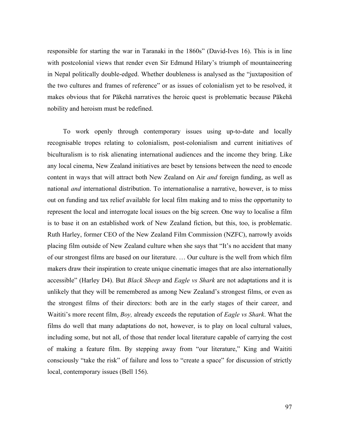responsible for starting the war in Taranaki in the 1860s" (David-Ives 16). This is in line with postcolonial views that render even Sir Edmund Hilary's triumph of mountaineering in Nepal politically double-edged. Whether doubleness is analysed as the "juxtaposition of the two cultures and frames of reference" or as issues of colonialism yet to be resolved, it makes obvious that for Pākehā narratives the heroic quest is problematic because Pākehā nobility and heroism must be redefined.

To work openly through contemporary issues using up-to-date and locally recognisable tropes relating to colonialism, post-colonialism and current initiatives of biculturalism is to risk alienating international audiences and the income they bring. Like any local cinema, New Zealand initiatives are beset by tensions between the need to encode content in ways that will attract both New Zealand on Air *and* foreign funding, as well as national *and* international distribution. To internationalise a narrative, however, is to miss out on funding and tax relief available for local film making and to miss the opportunity to represent the local and interrogate local issues on the big screen. One way to localise a film is to base it on an established work of New Zealand fiction, but this, too, is problematic. Ruth Harley, former CEO of the New Zealand Film Commission (NZFC), narrowly avoids placing film outside of New Zealand culture when she says that "It's no accident that many of our strongest films are based on our literature. … Our culture is the well from which film makers draw their inspiration to create unique cinematic images that are also internationally accessible" (Harley D4). But *Black Sheep* and *Eagle vs Shark* are not adaptations and it is unlikely that they will be remembered as among New Zealand's strongest films, or even as the strongest films of their directors: both are in the early stages of their career, and Waititi's more recent film, *Boy,* already exceeds the reputation of *Eagle vs Shark*. What the films do well that many adaptations do not, however, is to play on local cultural values, including some, but not all, of those that render local literature capable of carrying the cost of making a feature film. By stepping away from "our literature," King and Waititi consciously "take the risk" of failure and loss to "create a space" for discussion of strictly local, contemporary issues (Bell 156).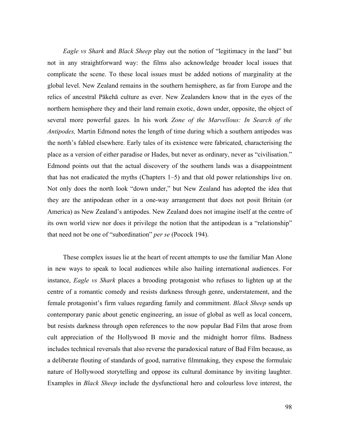*Eagle vs Shark* and *Black Sheep* play out the notion of "legitimacy in the land" but not in any straightforward way: the films also acknowledge broader local issues that complicate the scene. To these local issues must be added notions of marginality at the global level. New Zealand remains in the southern hemisphere, as far from Europe and the relics of ancestral Pākehā culture as ever. New Zealanders know that in the eyes of the northern hemisphere they and their land remain exotic, down under, opposite, the object of several more powerful gazes. In his work *Zone of the Marvellous: In Search of the Antipodes,* Martin Edmond notes the length of time during which a southern antipodes was the north's fabled elsewhere. Early tales of its existence were fabricated, characterising the place as a version of either paradise or Hades, but never as ordinary, never as "civilisation." Edmond points out that the actual discovery of the southern lands was a disappointment that has not eradicated the myths (Chapters 1–5) and that old power relationships live on. Not only does the north look "down under," but New Zealand has adopted the idea that they are the antipodean other in a one-way arrangement that does not posit Britain (or America) as New Zealand's antipodes. New Zealand does not imagine itself at the centre of its own world view nor does it privilege the notion that the antipodean is a "relationship" that need not be one of "subordination" *per se* (Pocock 194).

These complex issues lie at the heart of recent attempts to use the familiar Man Alone in new ways to speak to local audiences while also hailing international audiences. For instance, *Eagle vs Shark* places a brooding protagonist who refuses to lighten up at the centre of a romantic comedy and resists darkness through genre, understatement, and the female protagonist's firm values regarding family and commitment. *Black Sheep* sends up contemporary panic about genetic engineering, an issue of global as well as local concern, but resists darkness through open references to the now popular Bad Film that arose from cult appreciation of the Hollywood B movie and the midnight horror films. Badness includes technical reversals that also reverse the paradoxical nature of Bad Film because, as a deliberate flouting of standards of good, narrative filmmaking, they expose the formulaic nature of Hollywood storytelling and oppose its cultural dominance by inviting laughter. Examples in *Black Sheep* include the dysfunctional hero and colourless love interest, the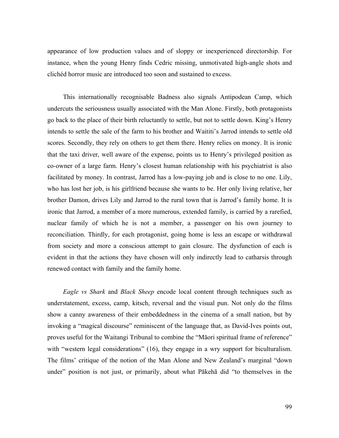appearance of low production values and of sloppy or inexperienced directorship. For instance, when the young Henry finds Cedric missing, unmotivated high-angle shots and clichéd horror music are introduced too soon and sustained to excess.

This internationally recognisable Badness also signals Antipodean Camp, which undercuts the seriousness usually associated with the Man Alone. Firstly, both protagonists go back to the place of their birth reluctantly to settle, but not to settle down. King's Henry intends to settle the sale of the farm to his brother and Waititi's Jarrod intends to settle old scores. Secondly, they rely on others to get them there. Henry relies on money. It is ironic that the taxi driver, well aware of the expense, points us to Henry's privileged position as co-owner of a large farm. Henry's closest human relationship with his psychiatrist is also facilitated by money. In contrast, Jarrod has a low-paying job and is close to no one. Lily, who has lost her job, is his girlfriend because she wants to be. Her only living relative, her brother Damon, drives Lily and Jarrod to the rural town that is Jarrod's family home. It is ironic that Jarrod, a member of a more numerous, extended family, is carried by a rarefied, nuclear family of which he is not a member, a passenger on his own journey to reconciliation. Thirdly, for each protagonist, going home is less an escape or withdrawal from society and more a conscious attempt to gain closure. The dysfunction of each is evident in that the actions they have chosen will only indirectly lead to catharsis through renewed contact with family and the family home.

*Eagle vs Shark* and *Black Sheep* encode local content through techniques such as understatement, excess, camp, kitsch, reversal and the visual pun. Not only do the films show a canny awareness of their embeddedness in the cinema of a small nation, but by invoking a "magical discourse" reminiscent of the language that, as David-Ives points out, proves useful for the Waitangi Tribunal to combine the "Māori spiritual frame of reference" with "western legal considerations" (16), they engage in a wry support for biculturalism. The films' critique of the notion of the Man Alone and New Zealand's marginal "down under" position is not just, or primarily, about what Pākehā did "to themselves in the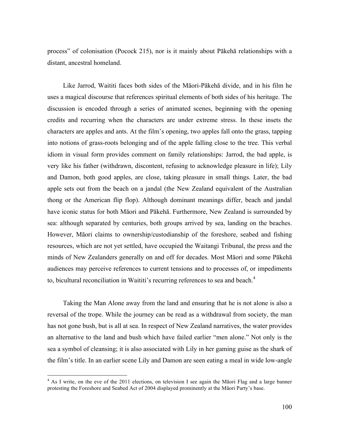process" of colonisation (Pocock 215), nor is it mainly about Pākehā relationships with a distant, ancestral homeland.

Like Jarrod, Waititi faces both sides of the Māori-Pākehā divide, and in his film he uses a magical discourse that references spiritual elements of both sides of his heritage. The discussion is encoded through a series of animated scenes, beginning with the opening credits and recurring when the characters are under extreme stress. In these insets the characters are apples and ants. At the film's opening, two apples fall onto the grass, tapping into notions of grass-roots belonging and of the apple falling close to the tree. This verbal idiom in visual form provides comment on family relationships: Jarrod, the bad apple, is very like his father (withdrawn, discontent, refusing to acknowledge pleasure in life); Lily and Damon, both good apples, are close, taking pleasure in small things. Later, the bad apple sets out from the beach on a jandal (the New Zealand equivalent of the Australian thong or the American flip flop). Although dominant meanings differ, beach and jandal have iconic status for both Māori and Pākehā. Furthermore, New Zealand is surrounded by sea: although separated by centuries, both groups arrived by sea, landing on the beaches. However, Māori claims to ownership/custodianship of the foreshore, seabed and fishing resources, which are not yet settled, have occupied the Waitangi Tribunal, the press and the minds of New Zealanders generally on and off for decades. Most Māori and some Pākehā audiences may perceive references to current tensions and to processes of, or impediments to, bicultural reconciliation in Waititi's recurring references to sea and beach.<sup>4</sup>

Taking the Man Alone away from the land and ensuring that he is not alone is also a reversal of the trope. While the journey can be read as a withdrawal from society, the man has not gone bush, but is all at sea. In respect of New Zealand narratives, the water provides an alternative to the land and bush which have failed earlier "men alone." Not only is the sea a symbol of cleansing; it is also associated with Lily in her gaming guise as the shark of the film's title. In an earlier scene Lily and Damon are seen eating a meal in wide low-angle

 $4$  As I write, on the eve of the 2011 elections, on television I see again the Māori Flag and a large banner protesting the Foreshore and Seabed Act of 2004 displayed prominently at the Māori Party's base.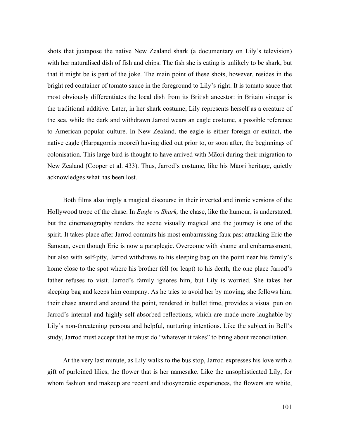shots that juxtapose the native New Zealand shark (a documentary on Lily's television) with her naturalised dish of fish and chips. The fish she is eating is unlikely to be shark, but that it might be is part of the joke. The main point of these shots, however, resides in the bright red container of tomato sauce in the foreground to Lily's right. It is tomato sauce that most obviously differentiates the local dish from its British ancestor: in Britain vinegar is the traditional additive. Later, in her shark costume, Lily represents herself as a creature of the sea, while the dark and withdrawn Jarrod wears an eagle costume, a possible reference to American popular culture. In New Zealand, the eagle is either foreign or extinct, the native eagle (Harpagornis moorei) having died out prior to, or soon after, the beginnings of colonisation. This large bird is thought to have arrived with Māori during their migration to New Zealand (Cooper et al. 433). Thus, Jarrod's costume, like his Māori heritage, quietly acknowledges what has been lost.

Both films also imply a magical discourse in their inverted and ironic versions of the Hollywood trope of the chase. In *Eagle vs Shark,* the chase, like the humour, is understated, but the cinematography renders the scene visually magical and the journey is one of the spirit. It takes place after Jarrod commits his most embarrassing faux pas: attacking Eric the Samoan, even though Eric is now a paraplegic. Overcome with shame and embarrassment, but also with self-pity, Jarrod withdraws to his sleeping bag on the point near his family's home close to the spot where his brother fell (or leapt) to his death, the one place Jarrod's father refuses to visit. Jarrod's family ignores him, but Lily is worried. She takes her sleeping bag and keeps him company. As he tries to avoid her by moving, she follows him; their chase around and around the point, rendered in bullet time, provides a visual pun on Jarrod's internal and highly self-absorbed reflections, which are made more laughable by Lily's non-threatening persona and helpful, nurturing intentions. Like the subject in Bell's study, Jarrod must accept that he must do "whatever it takes" to bring about reconciliation.

At the very last minute, as Lily walks to the bus stop, Jarrod expresses his love with a gift of purloined lilies, the flower that is her namesake. Like the unsophisticated Lily, for whom fashion and makeup are recent and idiosyncratic experiences, the flowers are white,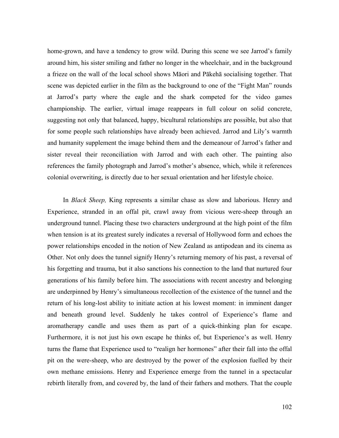home-grown, and have a tendency to grow wild. During this scene we see Jarrod's family around him, his sister smiling and father no longer in the wheelchair, and in the background a frieze on the wall of the local school shows Māori and Pākehā socialising together. That scene was depicted earlier in the film as the background to one of the "Fight Man" rounds at Jarrod's party where the eagle and the shark competed for the video games championship. The earlier, virtual image reappears in full colour on solid concrete, suggesting not only that balanced, happy, bicultural relationships are possible, but also that for some people such relationships have already been achieved. Jarrod and Lily's warmth and humanity supplement the image behind them and the demeanour of Jarrod's father and sister reveal their reconciliation with Jarrod and with each other. The painting also references the family photograph and Jarrod's mother's absence, which, while it references colonial overwriting, is directly due to her sexual orientation and her lifestyle choice.

In *Black Sheep,* King represents a similar chase as slow and laborious. Henry and Experience, stranded in an offal pit, crawl away from vicious were-sheep through an underground tunnel. Placing these two characters underground at the high point of the film when tension is at its greatest surely indicates a reversal of Hollywood form and echoes the power relationships encoded in the notion of New Zealand as antipodean and its cinema as Other. Not only does the tunnel signify Henry's returning memory of his past, a reversal of his forgetting and trauma, but it also sanctions his connection to the land that nurtured four generations of his family before him. The associations with recent ancestry and belonging are underpinned by Henry's simultaneous recollection of the existence of the tunnel and the return of his long-lost ability to initiate action at his lowest moment: in imminent danger and beneath ground level. Suddenly he takes control of Experience's flame and aromatherapy candle and uses them as part of a quick-thinking plan for escape. Furthermore, it is not just his own escape he thinks of, but Experience's as well. Henry turns the flame that Experience used to "realign her hormones" after their fall into the offal pit on the were-sheep, who are destroyed by the power of the explosion fuelled by their own methane emissions. Henry and Experience emerge from the tunnel in a spectacular rebirth literally from, and covered by, the land of their fathers and mothers. That the couple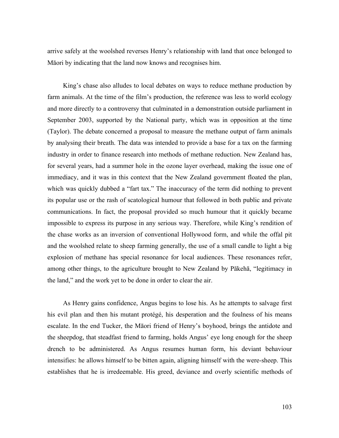arrive safely at the woolshed reverses Henry's relationship with land that once belonged to Māori by indicating that the land now knows and recognises him.

King's chase also alludes to local debates on ways to reduce methane production by farm animals. At the time of the film's production, the reference was less to world ecology and more directly to a controversy that culminated in a demonstration outside parliament in September 2003, supported by the National party, which was in opposition at the time (Taylor). The debate concerned a proposal to measure the methane output of farm animals by analysing their breath. The data was intended to provide a base for a tax on the farming industry in order to finance research into methods of methane reduction. New Zealand has, for several years, had a summer hole in the ozone layer overhead, making the issue one of immediacy, and it was in this context that the New Zealand government floated the plan, which was quickly dubbed a "fart tax." The inaccuracy of the term did nothing to prevent its popular use or the rash of scatological humour that followed in both public and private communications. In fact, the proposal provided so much humour that it quickly became impossible to express its purpose in any serious way. Therefore, while King's rendition of the chase works as an inversion of conventional Hollywood form, and while the offal pit and the woolshed relate to sheep farming generally, the use of a small candle to light a big explosion of methane has special resonance for local audiences. These resonances refer, among other things, to the agriculture brought to New Zealand by Pākehā, "legitimacy in the land," and the work yet to be done in order to clear the air.

As Henry gains confidence, Angus begins to lose his. As he attempts to salvage first his evil plan and then his mutant protégé, his desperation and the foulness of his means escalate. In the end Tucker, the Māori friend of Henry's boyhood, brings the antidote and the sheepdog, that steadfast friend to farming, holds Angus' eye long enough for the sheep drench to be administered. As Angus resumes human form, his deviant behaviour intensifies: he allows himself to be bitten again, aligning himself with the were-sheep. This establishes that he is irredeemable. His greed, deviance and overly scientific methods of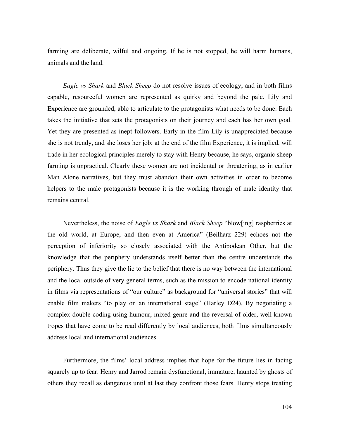farming are deliberate, wilful and ongoing. If he is not stopped, he will harm humans, animals and the land.

*Eagle vs Shark* and *Black Sheep* do not resolve issues of ecology, and in both films capable, resourceful women are represented as quirky and beyond the pale. Lily and Experience are grounded, able to articulate to the protagonists what needs to be done. Each takes the initiative that sets the protagonists on their journey and each has her own goal. Yet they are presented as inept followers. Early in the film Lily is unappreciated because she is not trendy, and she loses her job; at the end of the film Experience, it is implied, will trade in her ecological principles merely to stay with Henry because, he says, organic sheep farming is unpractical. Clearly these women are not incidental or threatening, as in earlier Man Alone narratives, but they must abandon their own activities in order to become helpers to the male protagonists because it is the working through of male identity that remains central.

Nevertheless, the noise of *Eagle vs Shark* and *Black Sheep* "blow[ing] raspberries at the old world, at Europe, and then even at America" (Beilharz 229) echoes not the perception of inferiority so closely associated with the Antipodean Other, but the knowledge that the periphery understands itself better than the centre understands the periphery. Thus they give the lie to the belief that there is no way between the international and the local outside of very general terms, such as the mission to encode national identity in films via representations of "our culture" as background for "universal stories" that will enable film makers "to play on an international stage" (Harley D24). By negotiating a complex double coding using humour, mixed genre and the reversal of older, well known tropes that have come to be read differently by local audiences, both films simultaneously address local and international audiences.

Furthermore, the films' local address implies that hope for the future lies in facing squarely up to fear. Henry and Jarrod remain dysfunctional, immature, haunted by ghosts of others they recall as dangerous until at last they confront those fears. Henry stops treating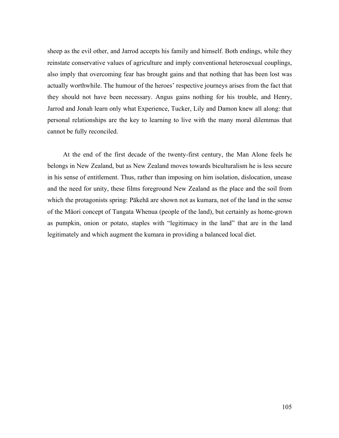sheep as the evil other, and Jarrod accepts his family and himself. Both endings, while they reinstate conservative values of agriculture and imply conventional heterosexual couplings, also imply that overcoming fear has brought gains and that nothing that has been lost was actually worthwhile. The humour of the heroes' respective journeys arises from the fact that they should not have been necessary. Angus gains nothing for his trouble, and Henry, Jarrod and Jonah learn only what Experience, Tucker, Lily and Damon knew all along: that personal relationships are the key to learning to live with the many moral dilemmas that cannot be fully reconciled.

At the end of the first decade of the twenty-first century, the Man Alone feels he belongs in New Zealand, but as New Zealand moves towards biculturalism he is less secure in his sense of entitlement. Thus, rather than imposing on him isolation, dislocation, unease and the need for unity, these films foreground New Zealand as the place and the soil from which the protagonists spring: Pākehā are shown not as kumara, not of the land in the sense of the Māori concept of Tangata Whenua (people of the land), but certainly as home-grown as pumpkin, onion or potato, staples with "legitimacy in the land" that are in the land legitimately and which augment the kumara in providing a balanced local diet.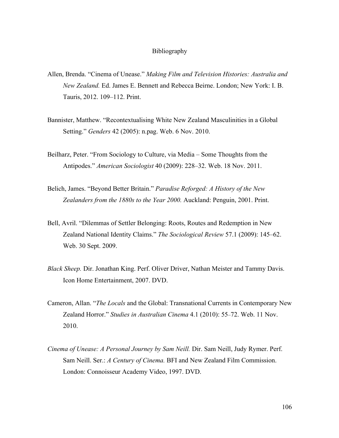## Bibliography

- Allen, Brenda. "Cinema of Unease." *Making Film and Television Histories: Australia and New Zealand.* Ed. James E. Bennett and Rebecca Beirne. London; New York: I. B. Tauris, 2012. 109–112. Print.
- Bannister, Matthew. "Recontextualising White New Zealand Masculinities in a Global Setting." *Genders* 42 (2005): n.pag. Web. 6 Nov. 2010.
- Beilharz, Peter. "From Sociology to Culture, via Media Some Thoughts from the Antipodes." *American Sociologist* 40 (2009): 228–32. Web. 18 Nov. 2011.
- Belich, James. "Beyond Better Britain." *Paradise Reforged: A History of the New Zealanders from the 1880s to the Year 2000.* Auckland: Penguin, 2001. Print.
- Bell, Avril. "Dilemmas of Settler Belonging: Roots, Routes and Redemption in New Zealand National Identity Claims." *The Sociological Review* 57.1 (2009): 145–62. Web. 30 Sept. 2009.
- *Black Sheep.* Dir. Jonathan King. Perf. Oliver Driver, Nathan Meister and Tammy Davis. Icon Home Entertainment, 2007. DVD.
- Cameron, Allan. "*The Locals* and the Global: Transnational Currents in Contemporary New Zealand Horror." *Studies in Australian Cinema* 4.1 (2010): 55–72. Web. 11 Nov. 2010.
- *Cinema of Unease: A Personal Journey by Sam Neill.* Dir. Sam Neill, Judy Rymer. Perf. Sam Neill. Ser.: *A Century of Cinema.* BFI and New Zealand Film Commission. London: Connoisseur Academy Video, 1997. DVD.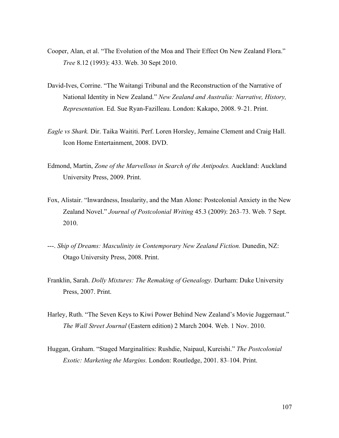- Cooper, Alan, et al. "The Evolution of the Moa and Their Effect On New Zealand Flora." *Tree* 8.12 (1993): 433. Web. 30 Sept 2010.
- David-Ives, Corrine. "The Waitangi Tribunal and the Reconstruction of the Narrative of National Identity in New Zealand." *New Zealand and Australia: Narrative, History, Representation.* Ed. Sue Ryan-Fazilleau. London: Kakapo, 2008. 9–21. Print.
- *Eagle vs Shark.* Dir. Taika Waititi. Perf. Loren Horsley, Jemaine Clement and Craig Hall. Icon Home Entertainment, 2008. DVD.
- Edmond, Martin, *Zone of the Marvellous in Search of the Antipodes.* Auckland: Auckland University Press, 2009. Print.
- Fox, Alistair. "Inwardness, Insularity, and the Man Alone: Postcolonial Anxiety in the New Zealand Novel." *Journal of Postcolonial Writing* 45.3 (2009): 263–73. Web. 7 Sept. 2010.
- ---. *Ship of Dreams: Masculinity in Contemporary New Zealand Fiction.* Dunedin, NZ: Otago University Press, 2008. Print.
- Franklin, Sarah. *Dolly Mixtures: The Remaking of Genealogy.* Durham: Duke University Press, 2007. Print.
- Harley, Ruth. "The Seven Keys to Kiwi Power Behind New Zealand's Movie Juggernaut." *The Wall Street Journal* (Eastern edition) 2 March 2004. Web. 1 Nov. 2010.
- Huggan, Graham. "Staged Marginalities: Rushdie, Naipaul, Kureishi." *The Postcolonial Exotic: Marketing the Margins.* London: Routledge, 2001. 83–104. Print.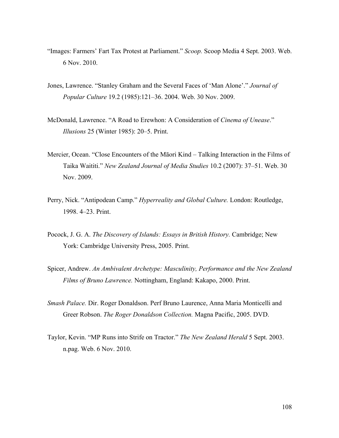- "Images: Farmers' Fart Tax Protest at Parliament." *Scoop.* Scoop Media 4 Sept. 2003. Web. 6 Nov. 2010.
- Jones, Lawrence. "Stanley Graham and the Several Faces of 'Man Alone'." *Journal of Popular Culture* 19.2 (1985):121–36. 2004. Web. 30 Nov. 2009.
- McDonald, Lawrence. "A Road to Erewhon: A Consideration of *Cinema of Unease*." *Illusions* 25 (Winter 1985): 20–5. Print.
- Mercier, Ocean. "Close Encounters of the Māori Kind Talking Interaction in the Films of Taika Waititi." *New Zealand Journal of Media Studies* 10.2 (2007): 37–51. Web. 30 Nov. 2009.
- Perry, Nick. "Antipodean Camp." *Hyperreality and Global Culture.* London: Routledge, 1998. 4–23. Print.
- Pocock, J. G. A. *The Discovery of Islands: Essays in British History.* Cambridge; New York: Cambridge University Press, 2005. Print.
- Spicer, Andrew. *An Ambivalent Archetype: Masculinity, Performance and the New Zealand Films of Bruno Lawrence.* Nottingham, England: Kakapo, 2000. Print.
- *Smash Palace.* Dir. Roger Donaldson. Perf Bruno Laurence, Anna Maria Monticelli and Greer Robson. *The Roger Donaldson Collection.* Magna Pacific, 2005. DVD.
- Taylor, Kevin. "MP Runs into Strife on Tractor." *The New Zealand Herald* 5 Sept. 2003. n.pag. Web. 6 Nov. 2010.